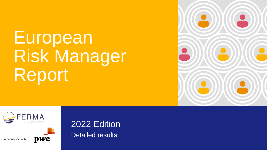# European Risk Manager Report





In partnership with



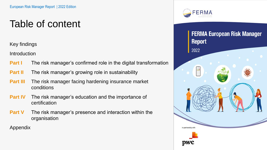# Table of content

Key findings

**Introduction** 

- **Part I** The risk manager's confirmed role in the digital transformation
- **Part II** The risk manager's growing role in sustainability
- **Part III** The risk manager facing hardening insurance market conditions
- **Part IV** The risk manager's education and the importance of certification
- **Part V** The risk manager's presence and interaction within the organisation

Appendix



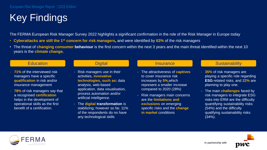# Key Findings

The FERMA European Risk Manager Survey 2022 highlights a significant confirmation in the role of the Risk Manager in Europe today :

- **Cyberattacks are still the 1st concern for risk managers,** and were identified by **63%** of the risk managers
- The threat of **changing consumer behaviour** is the first concern within the next 3 years and the main threat identified within the next 10 years is the **climate change.**

- **71%** of the interviewed risk managers have a specific **qualification** in risk and/or insurance management.
- **78%** of risk managers say that a recognised **certification** helps in the development of operational skills as the first benefit of a certification.

- Risk managers use in their activities, **innovative technologies, such as:** data analysis, web-based application, data visualisation, process automation and/or artificial intelligence.
- The **digital transformation** is stabilizing; however so far, 11% of the respondents do no have any technological skills

- The attractiveness of **captives** to cover insurance risk increases by **5%,**which represent a smaller increase compared to 2020 (28%)
- Risk managers main concerns are the **limitations and exclusions** on emerging specific risks and the **change in market** conditions

### Education **Digital Insurance Sustainability Contained Bustainability**

- **35%** of risk managers are playing a specific role regarding **ESG**-related risks, and **22%** are planning to play one.
- The main **challenges** faced by risk managers to integrate ESG risks into ERM are the difficulty quantifying sustainability risks (54%) and the difficulty qualifying sustainability risks (34%).



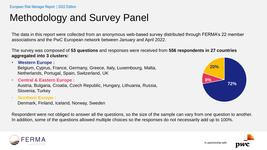# Methodology and Survey Panel

The data in this report were collected from an anonymous web-based survey distributed through FERMA's 22 member associations and the PwC European network between January and April 2022.

The survey was composed of **53 questions** and responses were received from **556 respondents in 27 countries aggregated into 3 clusters:** 

• **Western Europe :** Belgium, Cyprus, France, Germany, Greece, Italy, Luxembourg, Malta, Netherlands, Portugal, Spain, Switzerland, UK

• **Central & Eastern Europe :**

Austria, Bulgaria, Croatia, Czech Republic, Hungary, Lithuania, Russia, Slovenia, Turkey

• **Northern Europe :**

Denmark, Finland, Iceland, Norway, Sweden

**72% 8% 20%**

Respondent were not obliged to answer all the questions, so the size of the sample can vary from one question to another. In addition, some of the questions allowed multiple choices so the responses do not necessarily add up to 100%.



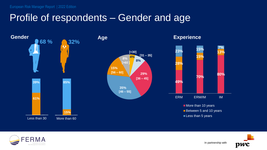## Profile of respondents – Gender and age





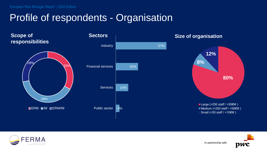## Profile of respondents - Organisation

**Scope of responsibilities**





### **Size of organisation**



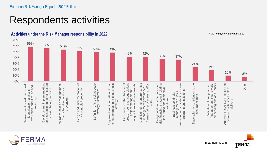# Respondents activities



**Activities under the Risk Manager responsibility in 2022**







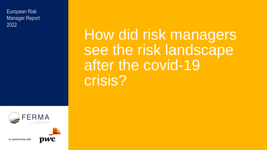European Risk Manager Report 2022

How did risk managers see the risk landscape after the covid-19 crisis?



In partnership with

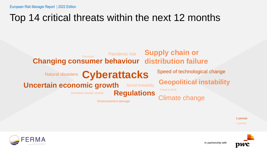# Top 14 critical threats within the next 12 months



2 periods 1 period



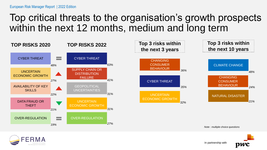### Top critical threats to the organisation's growth prospects within the next 12 months, medium and long term





In partnership with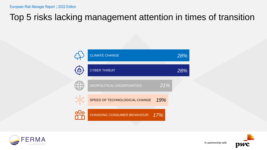### Top 5 risks lacking management attention in times of transition





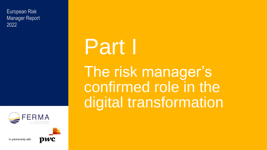European Risk Manager Report 2022



# Part I

The risk manager's confirmed role in the digital transformation





In partnership with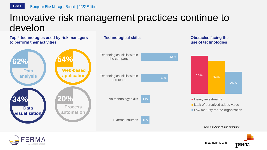### Innovative risk management practices continue to develop





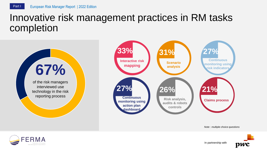### Innovative risk management practices in RM tasks completion

of the risk managers interviewed use technology in the risk reporting process **67%**



*Note : multiple choice questions*



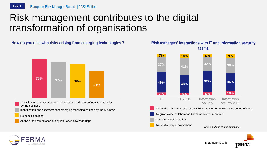## Risk management contributes to the digital transformation of organisations

### **How do you deal with risks arising from emerging technologies ? Risk managers' interactions with IT and information security**



- Identification and assessment of risks prior to adoption of new technologies by the business
- Identification and assessment of emerging technologies used by the business
- No specific actions
- Analysis and remediation of any insurance coverage gaps



No relationship / involvement







*Note : multiple choice questions*

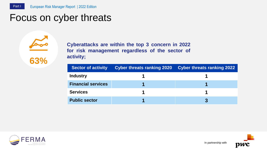### Focus on cyber threats

**Cyberattacks are within the top 3 concern in 2022 for risk management regardless of the sector of activity;**

| <b>Sector of activity</b> | <b>Cyber threats ranking 2020</b> | <b>Cyber threats ranking 2022</b> |
|---------------------------|-----------------------------------|-----------------------------------|
| <b>Industry</b>           |                                   |                                   |
| <b>Financial services</b> |                                   |                                   |
| <b>Services</b>           |                                   |                                   |
| <b>Public sector</b>      |                                   |                                   |



**63%**

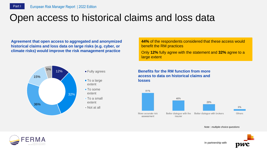## Open access to historical claims and loss data

**Agreement that open access to aggregated and anonymized historical claims and loss data on large risks (e.g. cyber, or climate risks) would improve the risk management practice**



- To a large extent
- To some extent
- **To a small** extent
- 
- Not at all

**44%** of the respondents considered that these access would benefit the RM practices

Only **12%** fully agree with the statement and **32%** agree to a large extent

**Benefits for the RM function from more access to data on historical claims and losses**



*Note : multiple choice questions*



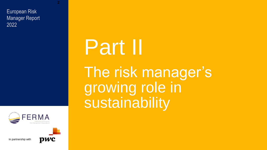European Risk Manager Report 2022



In partnership with



**2**

# Part II The risk manager's growing role in sustainability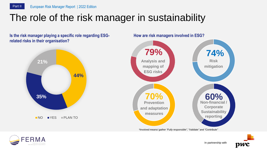

### The role of the risk manager in sustainability

**Is the risk manager playing a specific role regarding ESGrelated risks in their organisation?**





**How are risk managers involved in ESG?**

*\*Involved means/ gather "Fully responsible", "Validate" and "Contribute"*



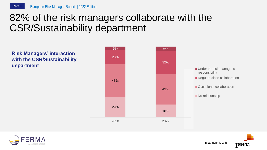## 82% of the risk managers collaborate with the CSR/Sustainability department

**Risk Managers' interaction with the CSR/Sustainability department**



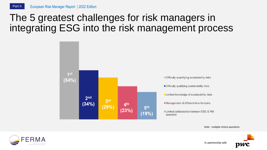## The 5 greatest challenges for risk managers in integrating ESG into the risk management process



*Note : multiple choice questions*



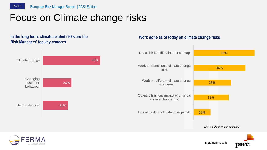# Focus on Climate change risks

### **In the long term, climate related risks are the Risk Managers' top key concern**

### 21% 24% 48% Natural disaster **Changing** customer behaviour Climate change 15% 31% 33% 46% 54% Do not work on climate change risk Quantify financial impact of physical climate change risk Work on different climate change scenarios Work on transitional climate change risks It is a risk identified in the risk map

**Work done as of today on climate change risks**

*Note : multiple choice questions*



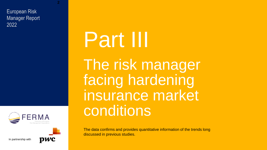European Risk Manager Report 2022



In partnership with



**2**

# Part III

The risk manager facing hardening insurance market conditions

The data confirms and provides quantitative information of the trends long discussed in previous studies.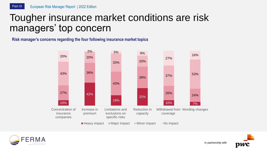### Tougher insurance market conditions are risk managers' top concern

### **Risk manager's concerns regarding the four following insurance market topics**





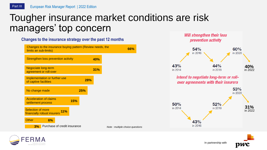### Tougher insurance market conditions are risk managers' top concern

| Unanges to the insurance strategy over the past 12 months<br>Changes to the insurance buying pattern (Review needs, the<br>limits an sub-limits) |     |     |                                  | 66% |
|--------------------------------------------------------------------------------------------------------------------------------------------------|-----|-----|----------------------------------|-----|
| Strengthen loss prevention activity                                                                                                              |     | 40% |                                  |     |
| <b>Negociate long-term</b><br>agreement or roll-over                                                                                             |     | 31% |                                  |     |
| Implementation or further use<br>of captive facilities                                                                                           | 28% |     |                                  |     |
| No change made                                                                                                                                   | 25% |     |                                  |     |
| <b>Acceleration of claims</b><br>settlement process                                                                                              | 15% |     |                                  |     |
| <b>Selection of more</b><br>11%<br>financially robust insurers                                                                                   |     |     |                                  |     |
| <b>Other</b><br>6%                                                                                                                               |     |     |                                  |     |
| Purchase of credit insurance<br>3%                                                                                                               |     |     | Note : multiple choice questions |     |

**Changes to the insurance strategy over the past 12 months**





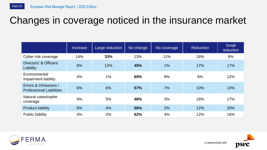# Changes in coverage noticed in the insurance market

|                                                         | Increase | Large reduction | No change | No coverage | <b>Reduction</b> | Small<br>reduction |
|---------------------------------------------------------|----------|-----------------|-----------|-------------|------------------|--------------------|
| Cyber risk coverage                                     | 14%      | 33%             | 13%       | 11%         | 18%              | 9%                 |
| Directors' & Officers'<br>Liability                     | 8%       | 12%             | 45%       | 1%          | 17%              | 17%                |
| Environmental<br>impairment liability                   | 4%       | $1\%$           | 69%       | 9%          | 6%               | 12%                |
| Errors & Omissions /<br><b>Professional Liabilities</b> | 6%       | 6%              | 57%       | 7%          | 10%              | 13%                |
| Natural catastrophe<br>coverage                         | 9%       | 5%              | 48%       | 3%          | 18%              | 17%                |
| <b>Product liability</b>                                | 6%       | 4%              | 56%       | 2%          | 12%              | 20%                |
| Public liability                                        | 4%       | 2%              | 62%       | 4%          | 12%              | 16%                |



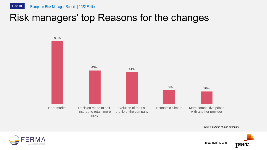# Risk managers' top Reasons for the changes



*Note : multiple choice questions*

In partnership with



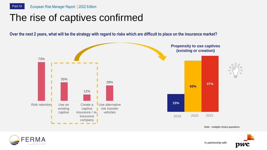### The rise of captives confirmed

Over the next 2 years, what will be the strategy with regard to risks which are difficult to place on the insurance market?



*Note : multiple choice questions*



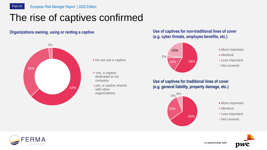# The rise of captives confirmed

### **Organizations owning, using or renting a captive**



- Do not use a captive
- Yes, a captive dedicated to my company
- yes, a captive shared with other organizations

### **Use of captives for non-traditional lines of cover (e.g. cyber threats, employee benefits, etc.)**



**Use of captives for traditional lines of cover (e.g. general liability, property damage, etc.)**



- **More important**
- **I**dentical
- **Less important**
- **Not covered**



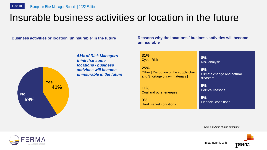## Insurable business activities or location in the future

### **Business activities or location 'uninsurable' in the future**

**41% 59% Yes No**

*41% of Risk Managers think that some locations / business activities will become uninsurable in the future*

**Reasons why the locations / business activities will become uninsurable**

| 31%                                    | 8%                          |  |
|----------------------------------------|-----------------------------|--|
| <b>Cyber Risk</b>                      | <b>Risk analysis</b>        |  |
| 25%                                    | 6%                          |  |
| Other [ Disruption of the supply chain | Climate change and natural  |  |
| and Shortage of raw materials ]        | disasters                   |  |
| 11%                                    | 5%                          |  |
| Coal and other energies                | <b>Political reasons</b>    |  |
| 9%                                     | 5%                          |  |
| <b>Hard market conditions</b>          | <b>Financial conditions</b> |  |

*Note : multiple choice questions*



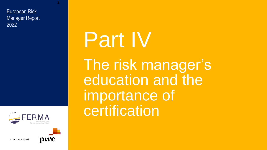European Risk Manager Report 2022



In partnership with



**2**

# Part IV

The risk manager's education and the importance of certification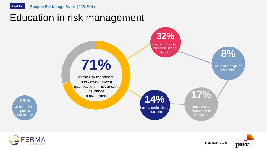### Education in risk management





Do not have a specific qualification

**29%**

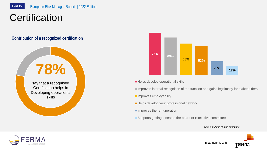# **Certification**

### **Contribution of a recognized certification**

# say that a recognised Certification helps in Developing operational skills **78%**



- Helps develop operational skills
- Improves internal recognition of the function and gains legitimacy for stakeholders
- **Improves employability**
- Helps develop your professional network
- Improves the remuneration
- Supports getting a seat at the board or Executive committee

*Note : multiple choice questions*

In partnership with



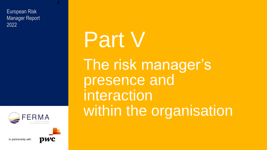European Risk Manager Report 2022



In partnership with



**2**

# Part V The risk manager's presence and interaction within the organisation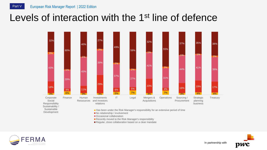### Levels of interaction with the 1<sup>st</sup> line of defence



Occasional collaboration

Recently moved to the Risk Manager's responsibility

Regular, close collaboration based on a clear mandate

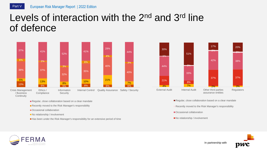### Levels of interaction with the 2<sup>nd</sup> and 3<sup>rd</sup> line of defence





- Recently moved to the Risk Manager's responsibility
- Occasional collaboration
- No relationship / involvement
- Has been under the Risk Manager's responsibility for an extensive period of time



- Regular, close collaboration based on a clear mandate
- Recently moved to the Risk Manager's responsibility

In partnership with

- Occasional collaboration
- No relationship / involvement



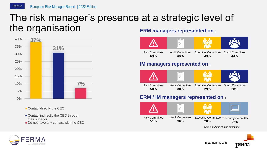### The risk manager's presence at a strategic level of the organisation **ERM managers represented on :**



Contact directly the CEO

■ Contact indirectly the CEO through their superior Do not have any contact with the CEO





### **ERM / IM managers represented on :**





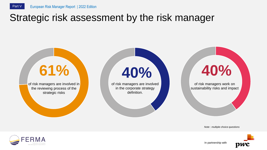### Strategic risk assessment by the risk manager



*Note : multiple choice questions*

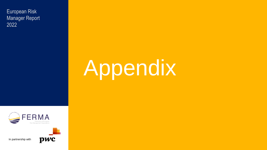European Risk Manager Report 2022

# Appendix



In partnership with

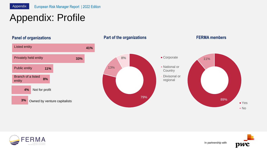# Appendix: Profile

### **Panel of organizations**



### **Part of the organizations FERMA members**





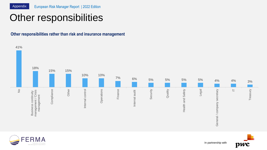# Other responsibilities

**Other responsibilities rather than risk and insurance management**





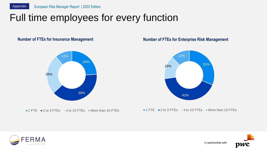# Full time employees for every function

### **Number of FTEs for Insurance Management**



 $\blacksquare$  1 FTE  $\blacksquare$  2 to 3 FTEs  $\blacksquare$  4 to 10 FTEs  $\blacksquare$  More than 10 FTEs

### **Number of FTEs for Enterprise Risk Management**



 $\blacksquare$  1 FTE  $\blacksquare$  2 to 3 FTEs  $\blacksquare$  4 to 10 FTEs  $\blacksquare$  More than 10 FTEs



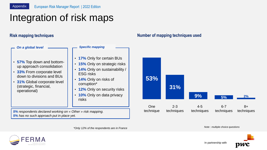# Integration of risk maps

### **Risk mapping techniques**



### **Number of mapping techniques used**



*\*Only 12% of the respondents are in France*

*Note : multiple choice questions*

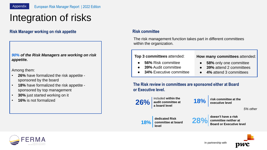# Integration of risks

### **Risk Manager working on risk appetite**

### *90% of the Risk Managers are working on risk appetite.*

Among them:

- **26%** have formalized the risk appetite sponsored by the board
- **18%** have formalized the risk appetite sponsored by top management
- **30%** just started working on it
- **16%** is not formalized

### **Risk committee**

The risk management function takes part in different committees within the organization.

**Top 3 committees** attended:

- **56% Risk committee**
- **39%** Audit committee
- **34% Executive committee**

**How many committees** attended:

- **58%** only one committee
- **39% attend 2 committees**
- **4%** attend 3 committees

**The Risk review in committees are sponsored either at Board or Executive level.**



included **within the audit committee at a board level 26%** audit committee at **18%** risk committee at the **26%** 

**18%**

*5% other*



**dedicated Risk committee at board level**



**doesn't have a risk committee neither at Board or Executive level**



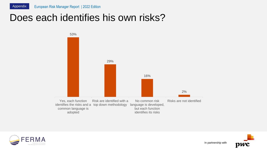### Does each identifies his own risks?





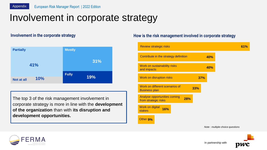## Involvement in corporate strategy



The top 3 of the risk management involvement in corporate strategy is more in line with the **development of the organization** than with **its disruption and development opportunities.** 

### **Involvement** in the corporate strategy **ACCO is the risk management involved** in corporate strategy





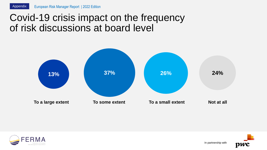### Covid-19 crisis impact on the frequency of risk discussions at board level





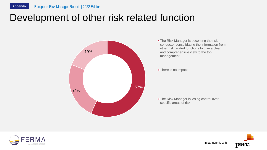## Development of other risk related function



**The Risk Manager is becoming the risk** conductor consolidating the information from other risk related functions to give a clear and comprehensive view to the top management

**There is no impact** 

**The Risk Manager is losing control over** specific areas of risk